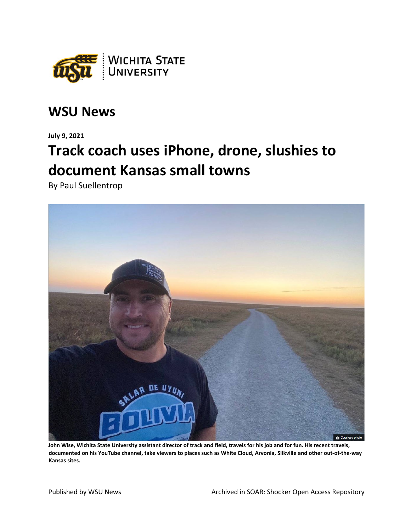

## **WSU News**

**July 9, 2021**

## **Track coach uses iPhone, drone, slushies to document Kansas small towns**

By Paul Suellentrop



**John Wise, Wichita State University assistant director of track and field, travels for his job and for fun. His recent travels, documented on his YouTube channel, take viewers to places such as White Cloud, Arvonia, Silkville and other out-of-the-way Kansas sites.**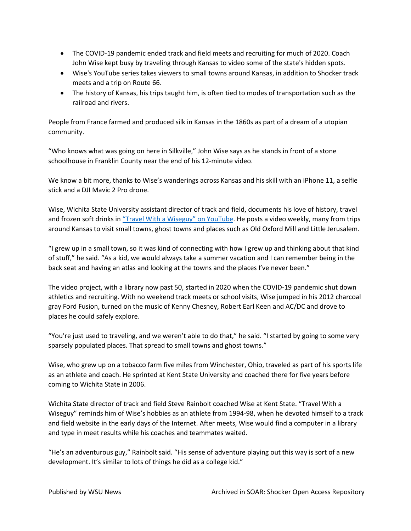- The COVID-19 pandemic ended track and field meets and recruiting for much of 2020. Coach John Wise kept busy by traveling through Kansas to video some of the state's hidden spots.
- Wise's YouTube series takes viewers to small towns around Kansas, in addition to Shocker track meets and a trip on Route 66.
- The history of Kansas, his trips taught him, is often tied to modes of transportation such as the railroad and rivers.

People from France farmed and produced silk in Kansas in the 1860s as part of a dream of a utopian community.

"Who knows what was going on here in Silkville," John Wise says as he stands in front of a stone schoolhouse in Franklin County near the end of his 12-minute video.

We know a bit more, thanks to Wise's wanderings across Kansas and his skill with an iPhone 11, a selfie stick and a DJI Mavic 2 Pro drone.

Wise, Wichita State University assistant director of track and field, documents his love of history, travel and frozen soft drinks i[n "Travel With a Wiseguy" on YouTube.](https://www.youtube.com/channel/UCsqr2K0ug5ceswCi1nTAxrw) He posts a video weekly, many from trips around Kansas to visit small towns, ghost towns and places such as Old Oxford Mill and Little Jerusalem.

"I grew up in a small town, so it was kind of connecting with how I grew up and thinking about that kind of stuff," he said. "As a kid, we would always take a summer vacation and I can remember being in the back seat and having an atlas and looking at the towns and the places I've never been."

The video project, with a library now past 50, started in 2020 when the COVID-19 pandemic shut down athletics and recruiting. With no weekend track meets or school visits, Wise jumped in his 2012 charcoal gray Ford Fusion, turned on the music of Kenny Chesney, Robert Earl Keen and AC/DC and drove to places he could safely explore.

"You're just used to traveling, and we weren't able to do that," he said. "I started by going to some very sparsely populated places. That spread to small towns and ghost towns."

Wise, who grew up on a tobacco farm five miles from Winchester, Ohio, traveled as part of his sports life as an athlete and coach. He sprinted at Kent State University and coached there for five years before coming to Wichita State in 2006.

Wichita State director of track and field Steve Rainbolt coached Wise at Kent State. "Travel With a Wiseguy" reminds him of Wise's hobbies as an athlete from 1994-98, when he devoted himself to a track and field website in the early days of the Internet. After meets, Wise would find a computer in a library and type in meet results while his coaches and teammates waited.

"He's an adventurous guy," Rainbolt said. "His sense of adventure playing out this way is sort of a new development. It's similar to lots of things he did as a college kid."